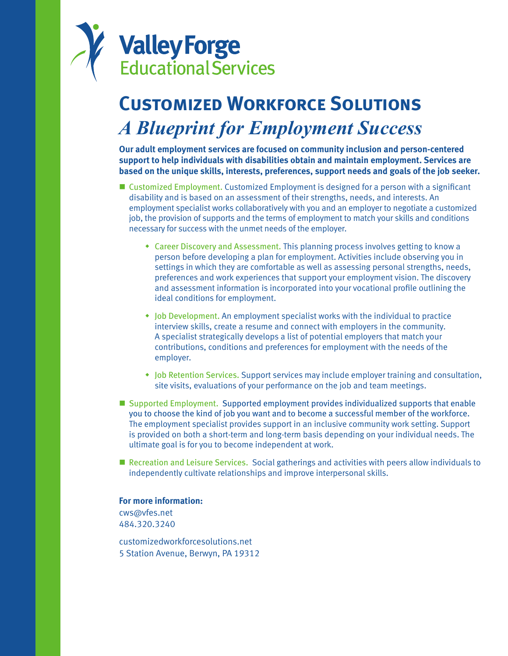

# **Customized Workforce Solutions** *A Blueprint for Employment Success*

**Our adult employment services are focused on community inclusion and person-centered support to help individuals with disabilities obtain and maintain employment. Services are based on the unique skills, interests, preferences, support needs and goals of the job seeker.** 

- Customized Employment. Customized Employment is designed for a person with a significant disability and is based on an assessment of their strengths, needs, and interests. An employment specialist works collaboratively with you and an employer to negotiate a customized job, the provision of supports and the terms of employment to match your skills and conditions necessary for success with the unmet needs of the employer.
	- Career Discovery and Assessment. This planning process involves getting to know a person before developing a plan for employment. Activities include observing you in settings in which they are comfortable as well as assessing personal strengths, needs, preferences and work experiences that support your employment vision. The discovery and assessment information is incorporated into your vocational profile outlining the ideal conditions for employment.
	- $\bullet$  Job Development. An employment specialist works with the individual to practice interview skills, create a resume and connect with employers in the community. A specialist strategically develops a list of potential employers that match your contributions, conditions and preferences for employment with the needs of the employer.
	- Job Retention Services. Support services may include employer training and consultation, site visits, evaluations of your performance on the job and team meetings.
- Supported Employment. Supported employment provides individualized supports that enable you to choose the kind of job you want and to become a successful member of the workforce. The employment specialist provides support in an inclusive community work setting. Support is provided on both a short-term and long-term basis depending on your individual needs. The ultimate goal is for you to become independent at work.
- Recreation and Leisure Services. Social gatherings and activities with peers allow individuals to independently cultivate relationships and improve interpersonal skills.

### **For more information:**

cws@vfes.net 484.320.3240

customizedworkforcesolutions.net 5 Station Avenue, Berwyn, PA 19312